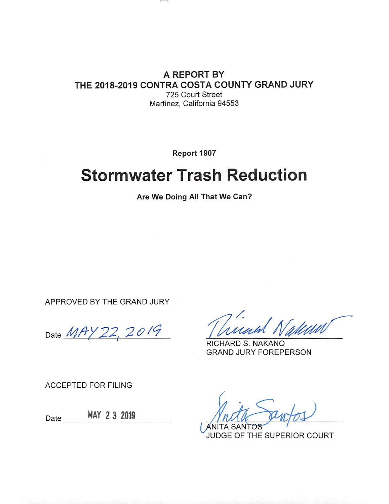A REPORT BY THE 2018-2019 CONTRA COSTA COUNTY GRAND JURY 725 Court Street

 $\sim$ 

Martinez, California 94553

Report 1907

# **Stormwater Trash Reduction**

Are We Doing All That We Can?

APPROVED BY THE GRAND JURY

Date MAY 22, 2019

RICHARD S. NAKANO **GRAND JURY FOREPERSON** 

**ACCEPTED FOR FILING** 

Date \_\_\_\_\_\_ MAY 2 3 2019

**ANITA SANTOS** JUDGE OF THE SUPERIOR COURT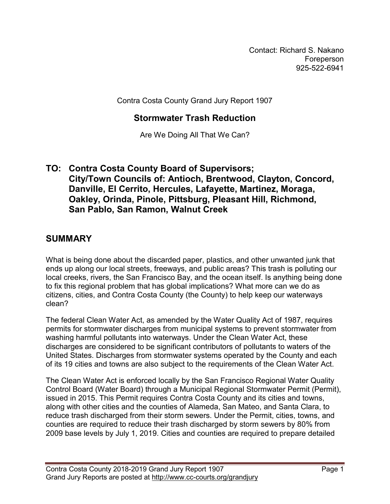Contact: Richard S. Nakano Foreperson 925-522-6941

Contra Costa County Grand Jury Report 1907

#### **Stormwater Trash Reduction**

Are We Doing All That We Can?

#### **TO: Contra Costa County Board of Supervisors; City/Town Councils of: Antioch, Brentwood, Clayton, Concord, Danville, El Cerrito, Hercules, Lafayette, Martinez, Moraga, Oakley, Orinda, Pinole, Pittsburg, Pleasant Hill, Richmond, San Pablo, San Ramon, Walnut Creek**

#### **SUMMARY**

What is being done about the discarded paper, plastics, and other unwanted junk that ends up along our local streets, freeways, and public areas? This trash is polluting our local creeks, rivers, the San Francisco Bay, and the ocean itself. Is anything being done to fix this regional problem that has global implications? What more can we do as citizens, cities, and Contra Costa County (the County) to help keep our waterways clean?

The federal Clean Water Act, as amended by the Water Quality Act of 1987, requires permits for stormwater discharges from municipal systems to prevent stormwater from washing harmful pollutants into waterways. Under the Clean Water Act, these discharges are considered to be significant contributors of pollutants to waters of the United States. Discharges from stormwater systems operated by the County and each of its 19 cities and towns are also subject to the requirements of the Clean Water Act.

The Clean Water Act is enforced locally by the San Francisco Regional Water Quality Control Board (Water Board) through a Municipal Regional Stormwater Permit (Permit), issued in 2015. This Permit requires Contra Costa County and its cities and towns, along with other cities and the counties of Alameda, San Mateo, and Santa Clara, to reduce trash discharged from their storm sewers. Under the Permit, cities, towns, and counties are required to reduce their trash discharged by storm sewers by 80% from 2009 base levels by July 1, 2019. Cities and counties are required to prepare detailed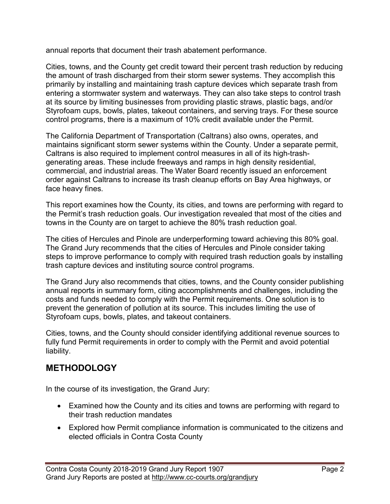annual reports that document their trash abatement performance.

Cities, towns, and the County get credit toward their percent trash reduction by reducing the amount of trash discharged from their storm sewer systems. They accomplish this primarily by installing and maintaining trash capture devices which separate trash from entering a stormwater system and waterways. They can also take steps to control trash at its source by limiting businesses from providing plastic straws, plastic bags, and/or Styrofoam cups, bowls, plates, takeout containers, and serving trays. For these source control programs, there is a maximum of 10% credit available under the Permit.

The California Department of Transportation (Caltrans) also owns, operates, and maintains significant storm sewer systems within the County. Under a separate permit, Caltrans is also required to implement control measures in all of its high-trashgenerating areas. These include freeways and ramps in high density residential, commercial, and industrial areas. The Water Board recently issued an enforcement order against Caltrans to increase its trash cleanup efforts on Bay Area highways, or face heavy fines.

This report examines how the County, its cities, and towns are performing with regard to the Permit's trash reduction goals. Our investigation revealed that most of the cities and towns in the County are on target to achieve the 80% trash reduction goal.

The cities of Hercules and Pinole are underperforming toward achieving this 80% goal. The Grand Jury recommends that the cities of Hercules and Pinole consider taking steps to improve performance to comply with required trash reduction goals by installing trash capture devices and instituting source control programs.

The Grand Jury also recommends that cities, towns, and the County consider publishing annual reports in summary form, citing accomplishments and challenges, including the costs and funds needed to comply with the Permit requirements. One solution is to prevent the generation of pollution at its source. This includes limiting the use of Styrofoam cups, bowls, plates, and takeout containers.

Cities, towns, and the County should consider identifying additional revenue sources to fully fund Permit requirements in order to comply with the Permit and avoid potential liability.

## **METHODOLOGY**

In the course of its investigation, the Grand Jury:

- Examined how the County and its cities and towns are performing with regard to their trash reduction mandates
- Explored how Permit compliance information is communicated to the citizens and elected officials in Contra Costa County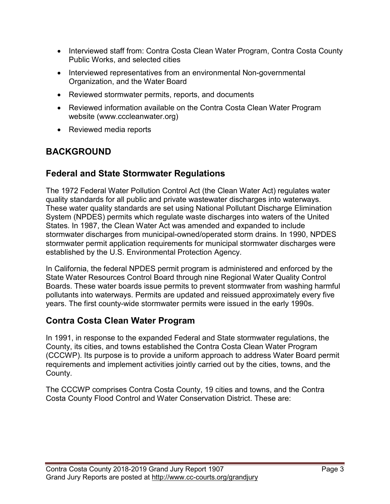- Interviewed staff from: Contra Costa Clean Water Program, Contra Costa County Public Works, and selected cities
- Interviewed representatives from an environmental Non-governmental Organization, and the Water Board
- Reviewed stormwater permits, reports, and documents
- Reviewed information available on the Contra Costa Clean Water Program website [\(www.cccleanwater.org\)](http://www.cccleanwater.org/)
- Reviewed media reports

# **BACKGROUND**

## **Federal and State Stormwater Regulations**

The 1972 Federal Water Pollution Control Act (the Clean Water Act) regulates water quality standards for all public and private wastewater discharges into waterways. These water quality standards are set using National Pollutant Discharge Elimination System (NPDES) permits which regulate waste discharges into waters of the United States. In 1987, the Clean Water Act was amended and expanded to include stormwater discharges from municipal-owned/operated storm drains. In 1990, NPDES stormwater permit application requirements for municipal stormwater discharges were established by the U.S. Environmental Protection Agency.

In California, the federal NPDES permit program is administered and enforced by the State Water Resources Control Board through nine Regional Water Quality Control Boards. These water boards issue permits to prevent stormwater from washing harmful pollutants into waterways. Permits are updated and reissued approximately every five years. The first county-wide stormwater permits were issued in the early 1990s.

## **Contra Costa Clean Water Program**

In 1991, in response to the expanded Federal and State stormwater regulations, the County, its cities, and towns established the Contra Costa Clean Water Program (CCCWP). Its purpose is to provide a uniform approach to address Water Board permit requirements and implement activities jointly carried out by the cities, towns, and the County.

The CCCWP comprises Contra Costa County, 19 cities and towns, and the Contra Costa County Flood Control and Water Conservation District. These are: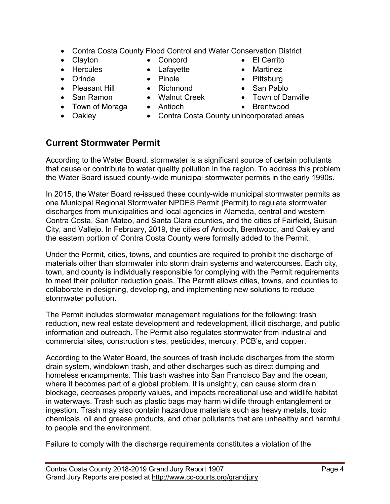- Contra Costa County Flood Control and Water Conservation District
- 
- Hercules Lafayette Martinez
- Orinda Pinole Pinole Pittsburg
- Pleasant Hill Richmond San Pablo
- 
- Town of Moraga Antioch Brentwood
- 
- Clayton Concord El Cerrito
	-
	-
	-
- San Ramon Walnut Creek Town of Danville
	-
- Oakley Contra Costa County unincorporated areas

#### **Current Stormwater Permit**

According to the Water Board, stormwater is a significant source of certain pollutants that cause or contribute to water quality pollution in the region. To address this problem the Water Board issued county-wide municipal stormwater permits in the early 1990s.

In 2015, the Water Board re-issued these county-wide municipal stormwater permits as one Municipal Regional Stormwater NPDES Permit (Permit) to regulate stormwater discharges from municipalities and local agencies in Alameda, central and western Contra Costa, San Mateo, and Santa Clara counties, and the cities of Fairfield, Suisun City, and Vallejo. In February, 2019, the cities of Antioch, Brentwood, and Oakley and the eastern portion of Contra Costa County were formally added to the Permit.

Under the Permit, cities, towns, and counties are required to prohibit the discharge of materials other than stormwater into storm drain systems and watercourses. Each city, town, and county is individually responsible for complying with the Permit requirements to meet their pollution reduction goals. The Permit allows cities, towns, and counties to collaborate in designing, developing, and implementing new solutions to reduce stormwater pollution.

The Permit includes stormwater management regulations for the following: trash reduction, new real estate development and redevelopment, illicit discharge, and public information and outreach. The Permit also regulates stormwater from industrial and commercial sites, construction sites, pesticides, mercury, PCB's, and copper.

According to the Water Board, the sources of trash include discharges from the storm drain system, windblown trash, and other discharges such as direct dumping and homeless encampments. This trash washes into San Francisco Bay and the ocean, where it becomes part of a global problem. It is unsightly, can cause storm drain blockage, decreases property values, and impacts recreational use and wildlife habitat in waterways. Trash such as plastic bags may harm wildlife through entanglement or ingestion. Trash may also contain hazardous materials such as heavy metals, toxic chemicals, oil and grease products, and other pollutants that are unhealthy and harmful to people and the environment.

Failure to comply with the discharge requirements constitutes a violation of the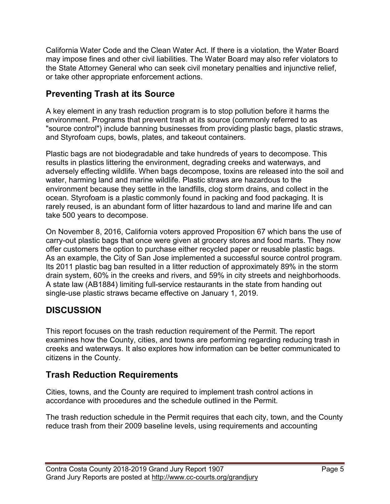California Water Code and the Clean Water Act. If there is a violation, the Water Board may impose fines and other civil liabilities. The Water Board may also refer violators to the State Attorney General who can seek civil monetary penalties and injunctive relief, or take other appropriate enforcement actions.

# **Preventing Trash at its Source**

A key element in any trash reduction program is to stop pollution before it harms the environment. Programs that prevent trash at its source (commonly referred to as "source control") include banning businesses from providing plastic bags, plastic straws, and Styrofoam cups, bowls, plates, and takeout containers.

Plastic bags are not biodegradable and take hundreds of years to decompose. This results in plastics littering the environment, degrading creeks and waterways, and adversely effecting wildlife. When bags decompose, toxins are released into the soil and water, harming land and marine wildlife. Plastic straws are hazardous to the environment because they settle in the landfills, clog storm drains, and collect in the ocean. Styrofoam is a plastic commonly found in packing and food packaging. It is rarely reused, is an abundant form of litter hazardous to land and marine life and can take 500 years to decompose.

On November 8, 2016, California voters approved Proposition 67 which bans the use of carry-out plastic bags that once were given at grocery stores and food marts. They now offer customers the option to purchase either recycled paper or reusable plastic bags. As an example, the City of San Jose implemented a successful source control program. Its 2011 plastic bag ban resulted in a litter reduction of approximately 89% in the storm drain system, 60% in the creeks and rivers, and 59% in city streets and neighborhoods. A state law (AB1884) limiting full-service restaurants in the state from handing out single-use plastic straws became effective on January 1, 2019.

# **DISCUSSION**

This report focuses on the trash reduction requirement of the Permit. The report examines how the County, cities, and towns are performing regarding reducing trash in creeks and waterways. It also explores how information can be better communicated to citizens in the County.

# **Trash Reduction Requirements**

Cities, towns, and the County are required to implement trash control actions in accordance with procedures and the schedule outlined in the Permit.

The trash reduction schedule in the Permit requires that each city, town, and the County reduce trash from their 2009 baseline levels, using requirements and accounting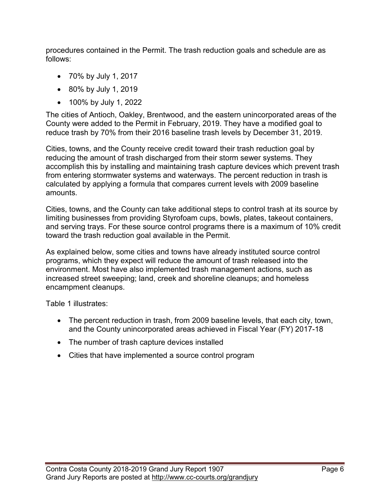procedures contained in the Permit. The trash reduction goals and schedule are as follows:

- 70% by July 1, 2017
- 80% by July 1, 2019
- 100% by July 1, 2022

The cities of Antioch, Oakley, Brentwood, and the eastern unincorporated areas of the County were added to the Permit in February, 2019. They have a modified goal to reduce trash by 70% from their 2016 baseline trash levels by December 31, 2019.

Cities, towns, and the County receive credit toward their trash reduction goal by reducing the amount of trash discharged from their storm sewer systems. They accomplish this by installing and maintaining trash capture devices which prevent trash from entering stormwater systems and waterways. The percent reduction in trash is calculated by applying a formula that compares current levels with 2009 baseline amounts.

Cities, towns, and the County can take additional steps to control trash at its source by limiting businesses from providing Styrofoam cups, bowls, plates, takeout containers, and serving trays. For these source control programs there is a maximum of 10% credit toward the trash reduction goal available in the Permit.

As explained below, some cities and towns have already instituted source control programs, which they expect will reduce the amount of trash released into the environment. Most have also implemented trash management actions, such as increased street sweeping; land, creek and shoreline cleanups; and homeless encampment cleanups.

Table 1 illustrates:

- The percent reduction in trash, from 2009 baseline levels, that each city, town, and the County unincorporated areas achieved in Fiscal Year (FY) 2017-18
- The number of trash capture devices installed
- Cities that have implemented a source control program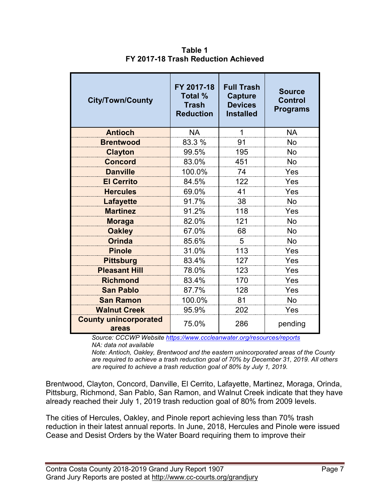| <b>City/Town/County</b>               | FY 2017-18<br><b>Total %</b><br><b>Trash</b><br><b>Reduction</b> | <b>Full Trash</b><br><b>Capture</b><br><b>Devices</b><br><b>Installed</b> | <b>Source</b><br><b>Control</b><br><b>Programs</b> |
|---------------------------------------|------------------------------------------------------------------|---------------------------------------------------------------------------|----------------------------------------------------|
| <b>Antioch</b>                        | <b>NA</b>                                                        | $\mathbf 1$                                                               | <b>NA</b>                                          |
| <b>Brentwood</b>                      | 83.3 %                                                           | 91                                                                        | No                                                 |
| <b>Clayton</b>                        | 99.5%                                                            | 195                                                                       | No                                                 |
| <b>Concord</b>                        | 83.0%                                                            | 451                                                                       | No                                                 |
| <b>Danville</b>                       | 100.0%                                                           | 74                                                                        | Yes                                                |
| <b>El Cerrito</b>                     | 84.5%                                                            | 122                                                                       | Yes                                                |
| <b>Hercules</b>                       | 69.0%                                                            | 41                                                                        | Yes                                                |
| <b>Lafayette</b>                      | 91.7%                                                            | 38                                                                        | No                                                 |
| <b>Martinez</b>                       | 91.2%                                                            | 118                                                                       | Yes                                                |
| <b>Moraga</b>                         | 82.0%                                                            | 121                                                                       | No                                                 |
| <b>Oakley</b>                         | 67.0%                                                            | 68                                                                        | <b>No</b>                                          |
| <b>Orinda</b>                         | 85.6%                                                            | 5                                                                         | No                                                 |
| <b>Pinole</b>                         | 31.0%                                                            | 113                                                                       | Yes                                                |
| <b>Pittsburg</b>                      | 83.4%                                                            | 127                                                                       | Yes                                                |
| <b>Pleasant Hill</b>                  | 78.0%                                                            | 123                                                                       | Yes                                                |
| <b>Richmond</b>                       | 83.4%                                                            | 170                                                                       | Yes                                                |
| <b>San Pablo</b>                      | 87.7%                                                            | 128                                                                       | Yes                                                |
| <b>San Ramon</b>                      | 100.0%                                                           | 81                                                                        | <b>No</b>                                          |
| <b>Walnut Creek</b>                   | 95.9%                                                            | 202                                                                       | Yes                                                |
| <b>County unincorporated</b><br>areas | 75.0%                                                            | 286                                                                       | pending                                            |

**Table 1 FY 2017-18 Trash Reduction Achieved**

*Source: CCCWP Website <https://www.cccleanwater.org/resources/reports> NA: data not available*

*Note: Antioch, Oakley, Brentwood and the eastern unincorporated areas of the County are required to achieve a trash reduction goal of 70% by December 31, 2019. All others are required to achieve a trash reduction goal of 80% by July 1, 2019.*

Brentwood, Clayton, Concord, Danville, El Cerrito, Lafayette, Martinez, Moraga, Orinda, Pittsburg, Richmond, San Pablo, San Ramon, and Walnut Creek indicate that they have already reached their July 1, 2019 trash reduction goal of 80% from 2009 levels.

The cities of Hercules, Oakley, and Pinole report achieving less than 70% trash reduction in their latest annual reports. In June, 2018, Hercules and Pinole were issued Cease and Desist Orders by the Water Board requiring them to improve their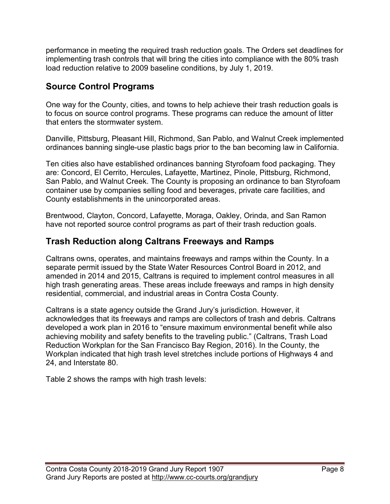performance in meeting the required trash reduction goals. The Orders set deadlines for implementing trash controls that will bring the cities into compliance with the 80% trash load reduction relative to 2009 baseline conditions, by July 1, 2019.

# **Source Control Programs**

One way for the County, cities, and towns to help achieve their trash reduction goals is to focus on source control programs. These programs can reduce the amount of litter that enters the stormwater system.

Danville, Pittsburg, Pleasant Hill, Richmond, San Pablo, and Walnut Creek implemented ordinances banning single-use plastic bags prior to the ban becoming law in California.

Ten cities also have established ordinances banning Styrofoam food packaging. They are: Concord, El Cerrito, Hercules, Lafayette, Martinez, Pinole, Pittsburg, Richmond, San Pablo, and Walnut Creek. The County is proposing an ordinance to ban Styrofoam container use by companies selling food and beverages, private care facilities, and County establishments in the unincorporated areas.

Brentwood, Clayton, Concord, Lafayette, Moraga, Oakley, Orinda, and San Ramon have not reported source control programs as part of their trash reduction goals.

## **Trash Reduction along Caltrans Freeways and Ramps**

Caltrans owns, operates, and maintains freeways and ramps within the County. In a separate permit issued by the State Water Resources Control Board in 2012, and amended in 2014 and 2015, Caltrans is required to implement control measures in all high trash generating areas. These areas include freeways and ramps in high density residential, commercial, and industrial areas in Contra Costa County.

Caltrans is a state agency outside the Grand Jury's jurisdiction. However, it acknowledges that its freeways and ramps are collectors of trash and debris. Caltrans developed a work plan in 2016 to "ensure maximum environmental benefit while also achieving mobility and safety benefits to the traveling public." (Caltrans, Trash Load Reduction Workplan for the San Francisco Bay Region, 2016). In the County, the Workplan indicated that high trash level stretches include portions of Highways 4 and 24, and Interstate 80.

Table 2 shows the ramps with high trash levels: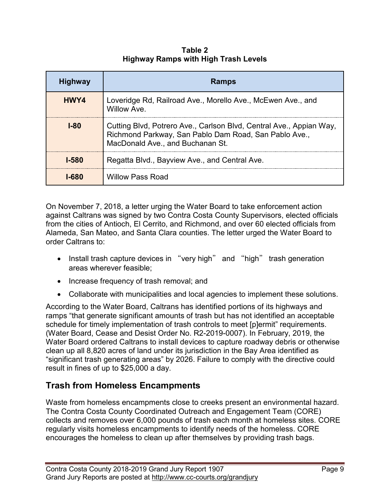**Table 2 Highway Ramps with High Trash Levels**

| <b>Highway</b> | <b>Ramps</b>                                                                                                                                                     |
|----------------|------------------------------------------------------------------------------------------------------------------------------------------------------------------|
| HWY4           | Loveridge Rd, Railroad Ave., Morello Ave., McEwen Ave., and<br>Willow Ave.                                                                                       |
| <b>1-80</b>    | Cutting Blvd, Potrero Ave., Carlson Blvd, Central Ave., Appian Way,<br>Richmond Parkway, San Pablo Dam Road, San Pablo Ave.,<br>MacDonald Ave., and Buchanan St. |
| 1-580          | Regatta Blvd., Bayview Ave., and Central Ave.                                                                                                                    |
| 1-680          | <b>Willow Pass Road</b>                                                                                                                                          |

On November 7, 2018, a letter urging the Water Board to take enforcement action against Caltrans was signed by two Contra Costa County Supervisors, elected officials from the cities of Antioch, El Cerrito, and Richmond, and over 60 elected officials from Alameda, San Mateo, and Santa Clara counties. The letter urged the Water Board to order Caltrans to:

- Install trash capture devices in "very high" and "high" trash generation areas wherever feasible;
- Increase frequency of trash removal; and
- Collaborate with municipalities and local agencies to implement these solutions.

According to the Water Board, Caltrans has identified portions of its highways and ramps "that generate significant amounts of trash but has not identified an acceptable schedule for timely implementation of trash controls to meet [p]ermit" requirements. (Water Board, Cease and Desist Order No. R2-2019-0007). In February, 2019, the Water Board ordered Caltrans to install devices to capture roadway debris or otherwise clean up all 8,820 acres of land under its jurisdiction in the Bay Area identified as "significant trash generating areas" by 2026. Failure to comply with the directive could result in fines of up to \$25,000 a day.

# **Trash from Homeless Encampments**

Waste from homeless encampments close to creeks present an environmental hazard. The Contra Costa County Coordinated Outreach and Engagement Team (CORE) collects and removes over 6,000 pounds of trash each month at homeless sites. CORE regularly visits homeless encampments to identify needs of the homeless. CORE encourages the homeless to clean up after themselves by providing trash bags.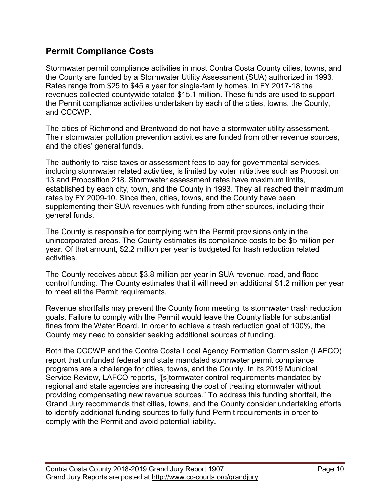#### **Permit Compliance Costs**

Stormwater permit compliance activities in most Contra Costa County cities, towns, and the County are funded by a Stormwater Utility Assessment (SUA) authorized in 1993. Rates range from \$25 to \$45 a year for single-family homes. In FY 2017-18 the revenues collected countywide totaled \$15.1 million. These funds are used to support the Permit compliance activities undertaken by each of the cities, towns, the County, and CCCWP.

The cities of Richmond and Brentwood do not have a stormwater utility assessment. Their stormwater pollution prevention activities are funded from other revenue sources, and the cities' general funds.

The authority to raise taxes or assessment fees to pay for governmental services, including stormwater related activities, is limited by voter initiatives such as Proposition 13 and Proposition 218. Stormwater assessment rates have maximum limits, established by each city, town, and the County in 1993. They all reached their maximum rates by FY 2009-10. Since then, cities, towns, and the County have been supplementing their SUA revenues with funding from other sources, including their general funds.

The County is responsible for complying with the Permit provisions only in the unincorporated areas. The County estimates its compliance costs to be \$5 million per year. Of that amount, \$2.2 million per year is budgeted for trash reduction related activities.

The County receives about \$3.8 million per year in SUA revenue, road, and flood control funding. The County estimates that it will need an additional \$1.2 million per year to meet all the Permit requirements.

Revenue shortfalls may prevent the County from meeting its stormwater trash reduction goals. Failure to comply with the Permit would leave the County liable for substantial fines from the Water Board. In order to achieve a trash reduction goal of 100%, the County may need to consider seeking additional sources of funding.

Both the CCCWP and the Contra Costa Local Agency Formation Commission (LAFCO) report that unfunded federal and state mandated stormwater permit compliance programs are a challenge for cities, towns, and the County. In its 2019 Municipal Service Review, LAFCO reports, "[s]tormwater control requirements mandated by regional and state agencies are increasing the cost of treating stormwater without providing compensating new revenue sources." To address this funding shortfall, the Grand Jury recommends that cities, towns, and the County consider undertaking efforts to identify additional funding sources to fully fund Permit requirements in order to comply with the Permit and avoid potential liability.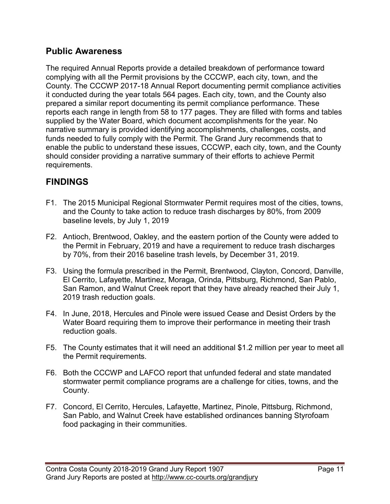#### **Public Awareness**

The required Annual Reports provide a detailed breakdown of performance toward complying with all the Permit provisions by the CCCWP, each city, town, and the County. The CCCWP 2017-18 Annual Report documenting permit compliance activities it conducted during the year totals 564 pages. Each city, town, and the County also prepared a similar report documenting its permit compliance performance. These reports each range in length from 58 to 177 pages. They are filled with forms and tables supplied by the Water Board, which document accomplishments for the year. No narrative summary is provided identifying accomplishments, challenges, costs, and funds needed to fully comply with the Permit. The Grand Jury recommends that to enable the public to understand these issues, CCCWP, each city, town, and the County should consider providing a narrative summary of their efforts to achieve Permit requirements.

## **FINDINGS**

- F1. The 2015 Municipal Regional Stormwater Permit requires most of the cities, towns, and the County to take action to reduce trash discharges by 80%, from 2009 baseline levels, by July 1, 2019
- F2. Antioch, Brentwood, Oakley, and the eastern portion of the County were added to the Permit in February, 2019 and have a requirement to reduce trash discharges by 70%, from their 2016 baseline trash levels, by December 31, 2019.
- F3. Using the formula prescribed in the Permit, Brentwood, Clayton, Concord, Danville, El Cerrito, Lafayette, Martinez, Moraga, Orinda, Pittsburg, Richmond, San Pablo, San Ramon, and Walnut Creek report that they have already reached their July 1, 2019 trash reduction goals.
- F4. In June, 2018, Hercules and Pinole were issued Cease and Desist Orders by the Water Board requiring them to improve their performance in meeting their trash reduction goals.
- F5. The County estimates that it will need an additional \$1.2 million per year to meet all the Permit requirements.
- F6. Both the CCCWP and LAFCO report that unfunded federal and state mandated stormwater permit compliance programs are a challenge for cities, towns, and the County.
- F7. Concord, El Cerrito, Hercules, Lafayette, Martinez, Pinole, Pittsburg, Richmond, San Pablo, and Walnut Creek have established ordinances banning Styrofoam food packaging in their communities.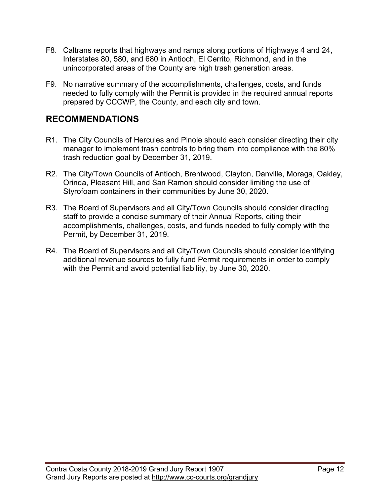- F8. Caltrans reports that highways and ramps along portions of Highways 4 and 24, Interstates 80, 580, and 680 in Antioch, El Cerrito, Richmond, and in the unincorporated areas of the County are high trash generation areas.
- F9. No narrative summary of the accomplishments, challenges, costs, and funds needed to fully comply with the Permit is provided in the required annual reports prepared by CCCWP, the County, and each city and town.

## **RECOMMENDATIONS**

- R1. The City Councils of Hercules and Pinole should each consider directing their city manager to implement trash controls to bring them into compliance with the 80% trash reduction goal by December 31, 2019.
- R2. The City/Town Councils of Antioch, Brentwood, Clayton, Danville, Moraga, Oakley, Orinda, Pleasant Hill, and San Ramon should consider limiting the use of Styrofoam containers in their communities by June 30, 2020.
- R3. The Board of Supervisors and all City/Town Councils should consider directing staff to provide a concise summary of their Annual Reports, citing their accomplishments, challenges, costs, and funds needed to fully comply with the Permit, by December 31, 2019.
- R4. The Board of Supervisors and all City/Town Councils should consider identifying additional revenue sources to fully fund Permit requirements in order to comply with the Permit and avoid potential liability, by June 30, 2020.